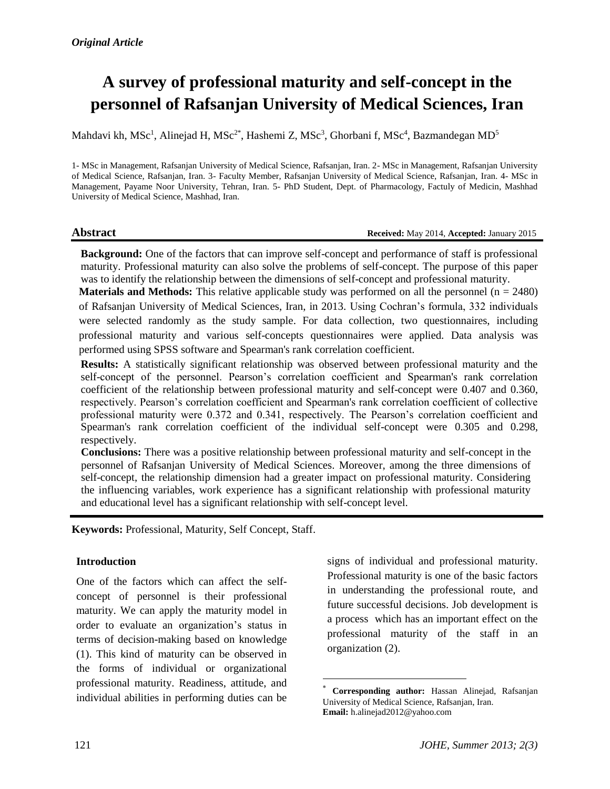# **A survey of professional maturity and self-concept in the personnel of Rafsanjan University of Medical Sciences, Iran**

Mahdavi kh, MSc<sup>1</sup>, Alinejad H, MSc<sup>2\*</sup>, Hashemi Z, MSc<sup>3</sup>, Ghorbani f, MSc<sup>4</sup>, Bazmandegan MD<sup>5</sup>

1- MSc in Management, Rafsanjan University of Medical Science, Rafsanjan, Iran. 2- MSc in Management, Rafsanjan University of Medical Science, Rafsanjan, Iran. 3- Faculty Member, Rafsanjan University of Medical Science, Rafsanjan, Iran. 4- MSc in Management, Payame Noor University, Tehran, Iran. 5- PhD Student, Dept. of Pharmacology, Factuly of Medicin, Mashhad University of Medical Science, Mashhad, Iran.

#### **Abstract Abstract Received:** May 2014, **Accepted:** January 2015

**Background:** One of the factors that can improve self-concept and performance of staff is professional maturity. Professional maturity can also solve the problems of self-concept. The purpose of this paper was to identify the relationship between the dimensions of self-concept and professional maturity.

**Materials and Methods:** This relative applicable study was performed on all the personnel  $(n = 2480)$ of Rafsanjan University of Medical Sciences, Iran, in 2013. Using Cochran's formula, 332 individuals were selected randomly as the study sample. For data collection, two questionnaires, including professional maturity and various self-concepts questionnaires were applied. Data analysis was performed using SPSS software and Spearman's rank correlation coefficient.

**Results:** A statistically significant relationship was observed between professional maturity and the self-concept of the personnel. Pearson's correlation coefficient and Spearman's rank correlation coefficient of the relationship between professional maturity and self-concept were 0.407 and 0.360, respectively. Pearson's correlation coefficient and Spearman's rank correlation coefficient of collective professional maturity were 0.372 and 0.341, respectively. The Pearson's correlation coefficient and Spearman's rank correlation coefficient of the individual self-concept were 0.305 and 0.298, respectively.

**Conclusions:** There was a positive relationship between professional maturity and self-concept in the personnel of Rafsanjan University of Medical Sciences. Moreover, among the three dimensions of self-concept, the relationship dimension had a greater impact on professional maturity. Considering the influencing variables, work experience has a significant relationship with professional maturity and educational level has a significant relationship with self-concept level.

l

**Keywords:** Professional, Maturity, Self Concept, Staff.

# **Introduction**

One of the factors which can affect the selfconcept of personnel is their professional maturity. We can apply the maturity model in order to evaluate an organization's status in terms of decision-making based on knowledge (1). This kind of maturity can be observed in the forms of individual or organizational professional maturity. Readiness, attitude, and individual abilities in performing duties can be

signs of individual and professional maturity. Professional maturity is one of the basic factors in understanding the professional route, and future successful decisions. Job development is a process which has an important effect on the professional maturity of the staff in an organization (2).

<sup>\*</sup> **Corresponding author:** Hassan Alinejad, Rafsanjan University of Medical Science, Rafsanjan, Iran. **Email:** h.alinejad2012@yahoo.com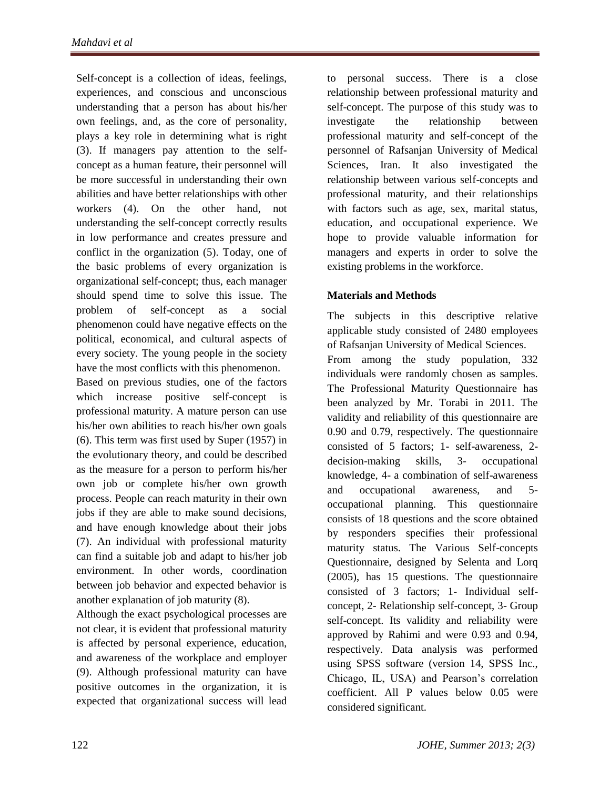Self-concept is a collection of ideas, feelings, experiences, and conscious and unconscious understanding that a person has about his/her own feelings, and, as the core of personality, plays a key role in determining what is right (3). If managers pay attention to the selfconcept as a human feature, their personnel will be more successful in understanding their own abilities and have better relationships with other workers (4). On the other hand, not understanding the self-concept correctly results in low performance and creates pressure and conflict in the organization (5). Today, one of the basic problems of every organization is organizational self-concept; thus, each manager should spend time to solve this issue. The problem of self-concept as a social phenomenon could have negative effects on the political, economical, and cultural aspects of every society. The young people in the society have the most conflicts with this phenomenon.

Based on previous studies, one of the factors which increase positive self-concept is professional maturity. A mature person can use his/her own abilities to reach his/her own goals (6). This term was first used by Super (1957) in the evolutionary theory, and could be described as the measure for a person to perform his/her own job or complete his/her own growth process. People can reach maturity in their own jobs if they are able to make sound decisions, and have enough knowledge about their jobs (7). An individual with professional maturity can find a suitable job and adapt to his/her job environment. In other words, coordination between job behavior and expected behavior is another explanation of job maturity (8).

Although the exact psychological processes are not clear, it is evident that professional maturity is affected by personal experience, education, and awareness of the workplace and employer (9). Although professional maturity can have positive outcomes in the organization, it is expected that organizational success will lead to personal success. There is a close relationship between professional maturity and self-concept. The purpose of this study was to investigate the relationship between professional maturity and self-concept of the personnel of Rafsanjan University of Medical Sciences, Iran. It also investigated the relationship between various self-concepts and professional maturity, and their relationships with factors such as age, sex, marital status, education, and occupational experience. We hope to provide valuable information for managers and experts in order to solve the existing problems in the workforce.

# **Materials and Methods**

The subjects in this descriptive relative applicable study consisted of 2480 employees of Rafsanjan University of Medical Sciences. From among the study population, 332 individuals were randomly chosen as samples. The Professional Maturity Questionnaire has been analyzed by Mr. Torabi in 2011. The validity and reliability of this questionnaire are 0.90 and 0.79, respectively. The questionnaire consisted of 5 factors; 1- self-awareness, 2 decision-making skills, 3- occupational knowledge, 4- a combination of self-awareness and occupational awareness, and 5 occupational planning. This questionnaire consists of 18 questions and the score obtained by responders specifies their professional maturity status. The Various Self-concepts Questionnaire, designed by Selenta and Lorq (2005), has 15 questions. The questionnaire consisted of 3 factors; 1- Individual selfconcept, 2- Relationship self-concept, 3- Group self-concept. Its validity and reliability were approved by Rahimi and were 0.93 and 0.94, respectively. Data analysis was performed using SPSS software (version 14, SPSS Inc., Chicago, IL, USA) and Pearson's correlation coefficient. All P values below 0.05 were considered significant.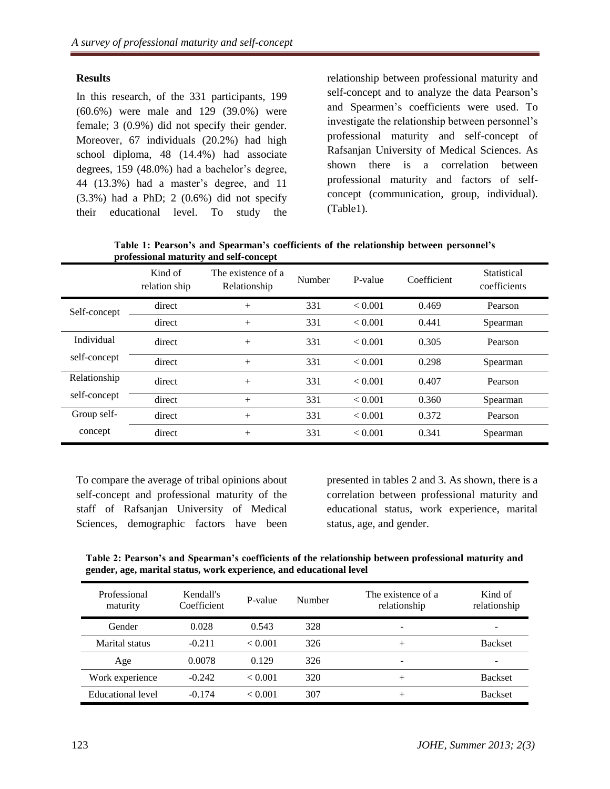# **Results**

In this research, of the 331 participants, 199 (60.6%) were male and 129 (39.0%) were female; 3 (0.9%) did not specify their gender. Moreover, 67 individuals (20.2%) had high school diploma, 48 (14.4%) had associate degrees, 159 (48.0%) had a bachelor's degree, 44 (13.3%) had a master's degree, and 11 (3.3%) had a PhD; 2 (0.6%) did not specify their educational level. To study the relationship between professional maturity and self-concept and to analyze the data Pearson's and Spearmen's coefficients were used. To investigate the relationship between personnel's professional maturity and self-concept of Rafsanjan University of Medical Sciences. As shown there is a correlation between professional maturity and factors of selfconcept (communication, group, individual). (Table1).

| Table 1: Pearson's and Spearman's coefficients of the relationship between personnel's |  |  |
|----------------------------------------------------------------------------------------|--|--|
| professional maturity and self-concept                                                 |  |  |

|              | Kind of<br>relation ship | The existence of a<br>Relationship | Number | P-value | Coefficient | Statistical<br>coefficients |
|--------------|--------------------------|------------------------------------|--------|---------|-------------|-----------------------------|
| Self-concept | direct                   | $+$                                | 331    | < 0.001 | 0.469       | Pearson                     |
|              | direct                   | $+$                                | 331    | < 0.001 | 0.441       | Spearman                    |
| Individual   | direct                   | $+$                                | 331    | < 0.001 | 0.305       | Pearson                     |
| self-concept | direct                   | $+$                                | 331    | < 0.001 | 0.298       | Spearman                    |
| Relationship | direct                   | $+$                                | 331    | < 0.001 | 0.407       | Pearson                     |
| self-concept | direct                   | $+$                                | 331    | < 0.001 | 0.360       | Spearman                    |
| Group self-  | direct                   | $+$                                | 331    | < 0.001 | 0.372       | Pearson                     |
| concept      | direct                   | $+$                                | 331    | < 0.001 | 0.341       | Spearman                    |

To compare the average of tribal opinions about self-concept and professional maturity of the staff of Rafsanjan University of Medical Sciences, demographic factors have been

presented in tables 2 and 3. As shown, there is a correlation between professional maturity and educational status, work experience, marital status, age, and gender.

**Table 2: Pearson's and Spearman's coefficients of the relationship between professional maturity and gender, age, marital status, work experience, and educational level**

| Professional<br>maturity | Kendall's<br>Coefficient | P-value | Number | The existence of a<br>relationship | Kind of<br>relationship  |
|--------------------------|--------------------------|---------|--------|------------------------------------|--------------------------|
| Gender                   | 0.028                    | 0.543   | 328    | $\overline{\phantom{a}}$           | $\overline{\phantom{0}}$ |
| Marital status           | $-0.211$                 | < 0.001 | 326    | $+$                                | <b>Backset</b>           |
| Age                      | 0.0078                   | 0.129   | 326    | $\overline{\phantom{a}}$           | -                        |
| Work experience          | $-0.242$                 | < 0.001 | 320    | $+$                                | <b>Backset</b>           |
| Educational level        | $-0.174$                 | < 0.001 | 307    | $+$                                | <b>Backset</b>           |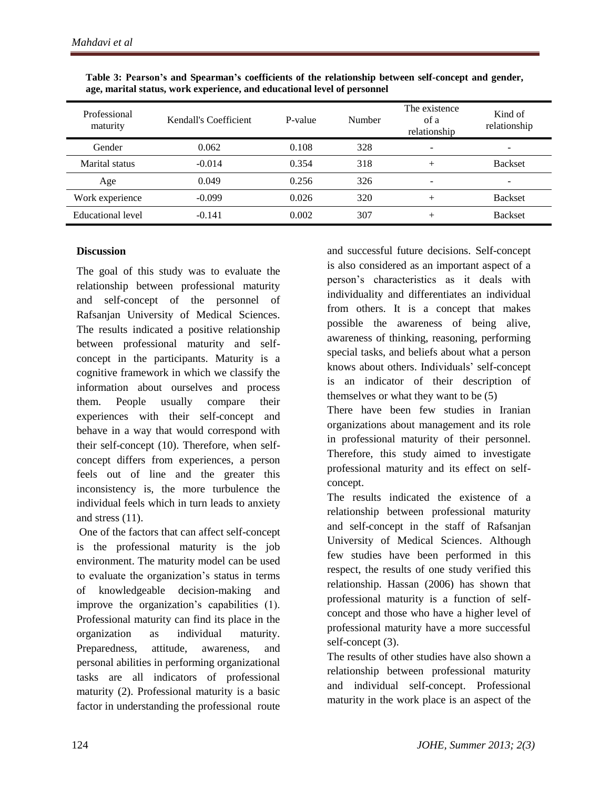| Professional<br>maturity | Kendall's Coefficient | P-value | Number | The existence<br>of a<br>relationship | Kind of<br>relationship |
|--------------------------|-----------------------|---------|--------|---------------------------------------|-------------------------|
| Gender                   | 0.062                 | 0.108   | 328    | ۰                                     |                         |
| Marital status           | $-0.014$              | 0.354   | 318    | ┿                                     | <b>Backset</b>          |
| Age                      | 0.049                 | 0.256   | 326    | ۰                                     |                         |
| Work experience          | $-0.099$              | 0.026   | 320    | $^+$                                  | <b>Backset</b>          |
| Educational level        | $-0.141$              | 0.002   | 307    | +                                     | <b>Backset</b>          |

| Table 3: Pearson's and Spearman's coefficients of the relationship between self-concept and gender, |
|-----------------------------------------------------------------------------------------------------|
| age, marital status, work experience, and educational level of personnel                            |

### **Discussion**

The goal of this study was to evaluate the relationship between professional maturity and self-concept of the personnel of Rafsanjan University of Medical Sciences. The results indicated a positive relationship between professional maturity and selfconcept in the participants. Maturity is a cognitive framework in which we classify the information about ourselves and process them. People usually compare their experiences with their self-concept and behave in a way that would correspond with their self-concept (10). Therefore, when selfconcept differs from experiences, a person feels out of line and the greater this inconsistency is, the more turbulence the individual feels which in turn leads to anxiety and stress (11).

One of the factors that can affect self-concept is the professional maturity is the job environment. The maturity model can be used to evaluate the organization's status in terms of knowledgeable decision-making and improve the organization's capabilities (1). Professional maturity can find its place in the organization as individual maturity. Preparedness, attitude, awareness, and personal abilities in performing organizational tasks are all indicators of professional maturity (2). Professional maturity is a basic factor in understanding the professional route and successful future decisions. Self-concept is also considered as an important aspect of a person's characteristics as it deals with individuality and differentiates an individual from others. It is a concept that makes possible the awareness of being alive, awareness of thinking, reasoning, performing special tasks, and beliefs about what a person knows about others. Individuals' self-concept is an indicator of their description of themselves or what they want to be (5) There have been few studies in Iranian organizations about management and its role in professional maturity of their personnel. Therefore, this study aimed to investigate professional maturity and its effect on selfconcept.

The results indicated the existence of a relationship between professional maturity and self-concept in the staff of Rafsanjan University of Medical Sciences. Although few studies have been performed in this respect, the results of one study verified this relationship. Hassan (2006) has shown that professional maturity is a function of selfconcept and those who have a higher level of professional maturity have a more successful self-concept (3).

The results of other studies have also shown a relationship between professional maturity and individual self-concept. Professional maturity in the work place is an aspect of the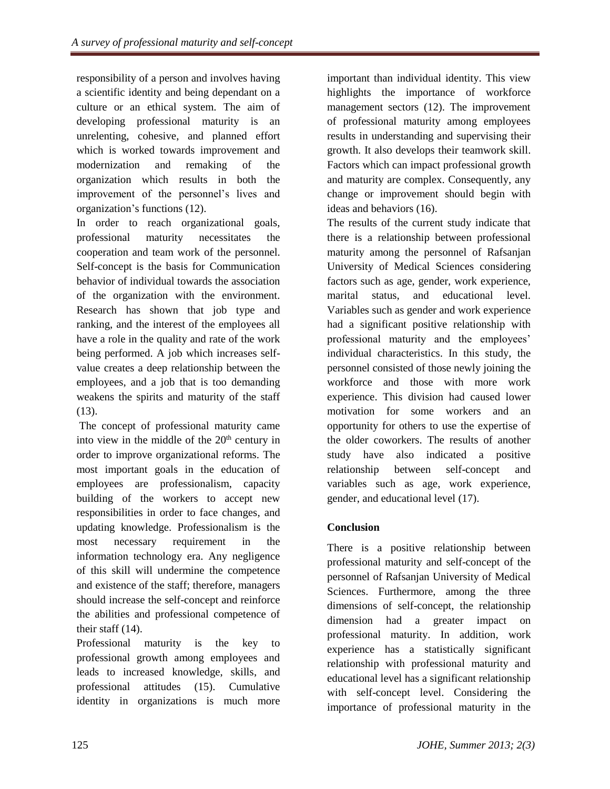responsibility of a person and involves having a scientific identity and being dependant on a culture or an ethical system. The aim of developing professional maturity is an unrelenting, cohesive, and planned effort which is worked towards improvement and modernization and remaking of the organization which results in both the improvement of the personnel's lives and organization's functions (12).

In order to reach organizational goals, professional maturity necessitates the cooperation and team work of the personnel. Self-concept is the basis for Communication behavior of individual towards the association of the organization with the environment. Research has shown that job type and ranking, and the interest of the employees all have a role in the quality and rate of the work being performed. A job which increases selfvalue creates a deep relationship between the employees, and a job that is too demanding weakens the spirits and maturity of the staff (13).

The concept of professional maturity came into view in the middle of the  $20<sup>th</sup>$  century in order to improve organizational reforms. The most important goals in the education of employees are professionalism, capacity building of the workers to accept new responsibilities in order to face changes, and updating knowledge. Professionalism is the most necessary requirement in the information technology era. Any negligence of this skill will undermine the competence and existence of the staff; therefore, managers should increase the self-concept and reinforce the abilities and professional competence of their staff (14).

Professional maturity is the key to professional growth among employees and leads to increased knowledge, skills, and professional attitudes (15). Cumulative identity in organizations is much more important than individual identity. This view highlights the importance of workforce management sectors (12). The improvement of professional maturity among employees results in understanding and supervising their growth. It also develops their teamwork skill. Factors which can impact professional growth and maturity are complex. Consequently, any change or improvement should begin with ideas and behaviors (16).

The results of the current study indicate that there is a relationship between professional maturity among the personnel of Rafsanjan University of Medical Sciences considering factors such as age, gender, work experience, marital status, and educational level. Variables such as gender and work experience had a significant positive relationship with professional maturity and the employees' individual characteristics. In this study, the personnel consisted of those newly joining the workforce and those with more work experience. This division had caused lower motivation for some workers and an opportunity for others to use the expertise of the older coworkers. The results of another study have also indicated a positive relationship between self-concept and variables such as age, work experience, gender, and educational level (17).

# **Conclusion**

There is a positive relationship between professional maturity and self-concept of the personnel of Rafsanjan University of Medical Sciences. Furthermore, among the three dimensions of self-concept, the relationship dimension had a greater impact on professional maturity. In addition, work experience has a statistically significant relationship with professional maturity and educational level has a significant relationship with self-concept level. Considering the importance of professional maturity in the